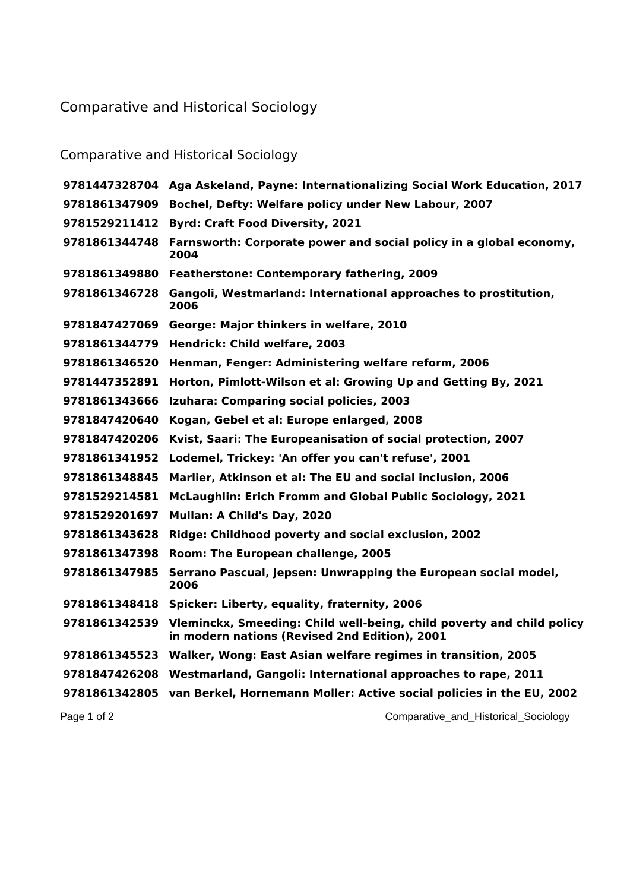## Comparative and Historical Sociology

## Comparative and Historical Sociology

|               | 9781447328704 Aga Askeland, Payne: Internationalizing Social Work Education, 2017                                      |
|---------------|------------------------------------------------------------------------------------------------------------------------|
| 9781861347909 | Bochel, Defty: Welfare policy under New Labour, 2007                                                                   |
| 9781529211412 | <b>Byrd: Craft Food Diversity, 2021</b>                                                                                |
|               | 9781861344748 Farnsworth: Corporate power and social policy in a global economy,<br>2004                               |
|               | 9781861349880 Featherstone: Contemporary fathering, 2009                                                               |
| 9781861346728 | Gangoli, Westmarland: International approaches to prostitution,<br>2006                                                |
| 9781847427069 | George: Major thinkers in welfare, 2010                                                                                |
|               | 9781861344779 Hendrick: Child welfare, 2003                                                                            |
| 9781861346520 | Henman, Fenger: Administering welfare reform, 2006                                                                     |
| 9781447352891 | Horton, Pimlott-Wilson et al: Growing Up and Getting By, 2021                                                          |
| 9781861343666 | Izuhara: Comparing social policies, 2003                                                                               |
| 9781847420640 | Kogan, Gebel et al: Europe enlarged, 2008                                                                              |
| 9781847420206 | Kvist, Saari: The Europeanisation of social protection, 2007                                                           |
| 9781861341952 | Lodemel, Trickey: 'An offer you can't refuse', 2001                                                                    |
| 9781861348845 | Marlier, Atkinson et al: The EU and social inclusion, 2006                                                             |
| 9781529214581 | McLaughlin: Erich Fromm and Global Public Sociology, 2021                                                              |
| 9781529201697 | Mullan: A Child's Day, 2020                                                                                            |
| 9781861343628 | Ridge: Childhood poverty and social exclusion, 2002                                                                    |
| 9781861347398 | Room: The European challenge, 2005                                                                                     |
| 9781861347985 | Serrano Pascual, Jepsen: Unwrapping the European social model,<br>2006                                                 |
| 9781861348418 | Spicker: Liberty, equality, fraternity, 2006                                                                           |
| 9781861342539 | Vleminckx, Smeeding: Child well-being, child poverty and child policy<br>in modern nations (Revised 2nd Edition), 2001 |
|               | 9781861345523 Walker, Wong: East Asian welfare regimes in transition, 2005                                             |
|               | 9781847426208 Westmarland, Gangoli: International approaches to rape, 2011                                             |
|               | 9781861342805 van Berkel, Hornemann Moller: Active social policies in the EU, 2002                                     |
| Page 1 of 2   | Comparative_and_Historical_Sociology                                                                                   |